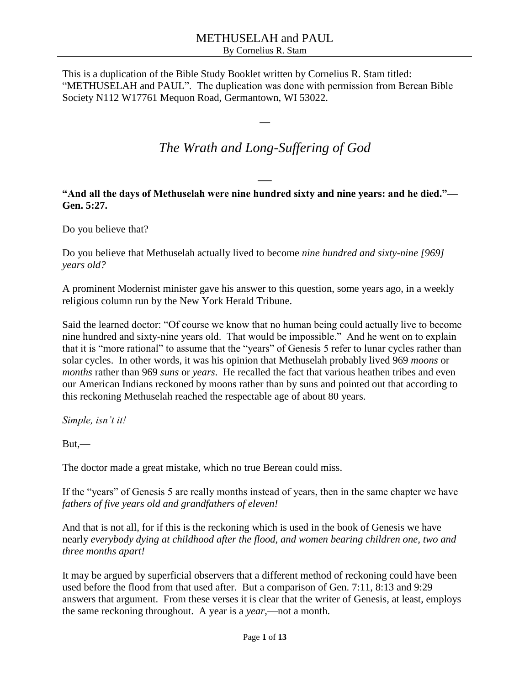This is a duplication of the Bible Study Booklet written by Cornelius R. Stam titled: "METHUSELAH and PAUL". The duplication was done with permission from Berean Bible Society N112 W17761 Mequon Road, Germantown, WI 53022.

# *The Wrath and Long-Suffering of God*

**—**

**—**

## **"And all the days of Methuselah were nine hundred sixty and nine years: and he died."— Gen. 5:27.**

Do you believe that?

Do you believe that Methuselah actually lived to become *nine hundred and sixty-nine [969] years old?*

A prominent Modernist minister gave his answer to this question, some years ago, in a weekly religious column run by the New York Herald Tribune.

Said the learned doctor: "Of course we know that no human being could actually live to become nine hundred and sixty-nine years old. That would be impossible." And he went on to explain that it is "more rational" to assume that the "years" of Genesis 5 refer to lunar cycles rather than solar cycles. In other words, it was his opinion that Methuselah probably lived 969 *moons* or *months* rather than 969 *suns* or *years*. He recalled the fact that various heathen tribes and even our American Indians reckoned by moons rather than by suns and pointed out that according to this reckoning Methuselah reached the respectable age of about 80 years.

*Simple, isn't it!*

But,—

The doctor made a great mistake, which no true Berean could miss.

If the "years" of Genesis 5 are really months instead of years, then in the same chapter we have *fathers of five years old and grandfathers of eleven!*

And that is not all, for if this is the reckoning which is used in the book of Genesis we have nearly *everybody dying at childhood after the flood, and women bearing children one, two and three months apart!*

It may be argued by superficial observers that a different method of reckoning could have been used before the flood from that used after. But a comparison of Gen. 7:11, 8:13 and 9:29 answers that argument. From these verses it is clear that the writer of Genesis, at least, employs the same reckoning throughout. A year is a *year*,—not a month.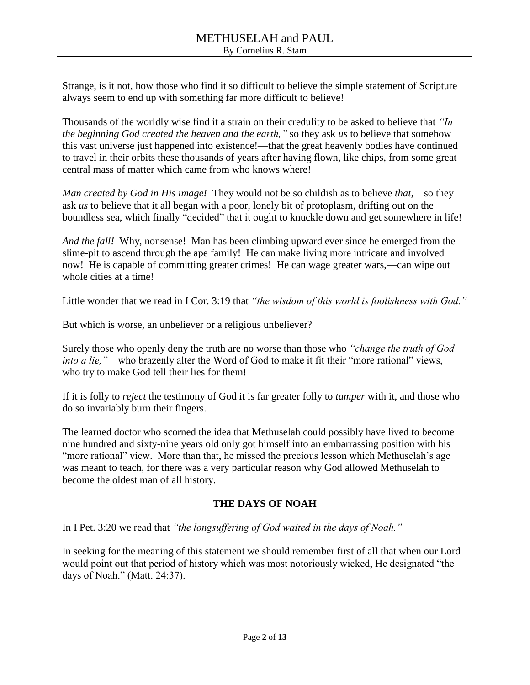Strange, is it not, how those who find it so difficult to believe the simple statement of Scripture always seem to end up with something far more difficult to believe!

Thousands of the worldly wise find it a strain on their credulity to be asked to believe that *"In the beginning God created the heaven and the earth,"* so they ask *us* to believe that somehow this vast universe just happened into existence!—that the great heavenly bodies have continued to travel in their orbits these thousands of years after having flown, like chips, from some great central mass of matter which came from who knows where!

*Man created by God in His image!* They would not be so childish as to believe *that,*—so they ask *us* to believe that it all began with a poor, lonely bit of protoplasm, drifting out on the boundless sea, which finally "decided" that it ought to knuckle down and get somewhere in life!

*And the fall!* Why, nonsense! Man has been climbing upward ever since he emerged from the slime-pit to ascend through the ape family! He can make living more intricate and involved now! He is capable of committing greater crimes! He can wage greater wars,—can wipe out whole cities at a time!

Little wonder that we read in I Cor. 3:19 that *"the wisdom of this world is foolishness with God."*

But which is worse, an unbeliever or a religious unbeliever?

Surely those who openly deny the truth are no worse than those who *"change the truth of God into a lie,* "—who brazenly alter the Word of God to make it fit their "more rational" views, who try to make God tell their lies for them!

If it is folly to *reject* the testimony of God it is far greater folly to *tamper* with it, and those who do so invariably burn their fingers.

The learned doctor who scorned the idea that Methuselah could possibly have lived to become nine hundred and sixty-nine years old only got himself into an embarrassing position with his "more rational" view. More than that, he missed the precious lesson which Methuselah's age was meant to teach, for there was a very particular reason why God allowed Methuselah to become the oldest man of all history.

## **THE DAYS OF NOAH**

In I Pet. 3:20 we read that *"the longsuffering of God waited in the days of Noah."*

In seeking for the meaning of this statement we should remember first of all that when our Lord would point out that period of history which was most notoriously wicked, He designated "the days of Noah." (Matt. 24:37).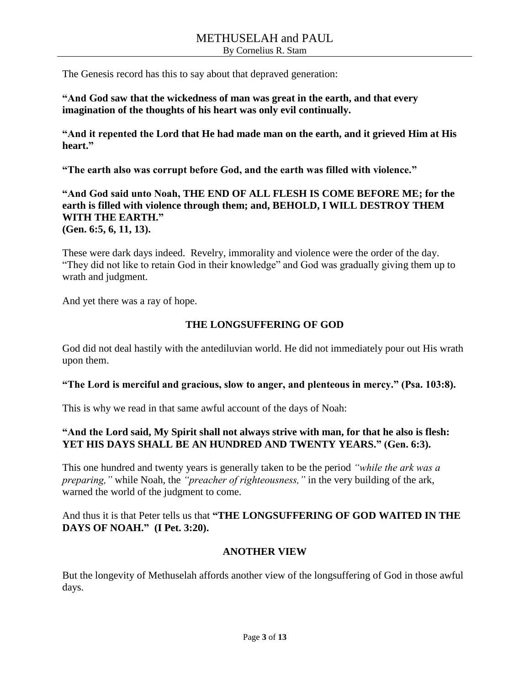The Genesis record has this to say about that depraved generation:

**"And God saw that the wickedness of man was great in the earth, and that every imagination of the thoughts of his heart was only evil continually.** 

**"And it repented the Lord that He had made man on the earth, and it grieved Him at His heart."**

**"The earth also was corrupt before God, and the earth was filled with violence."**

**"And God said unto Noah, THE END OF ALL FLESH IS COME BEFORE ME; for the earth is filled with violence through them; and, BEHOLD, I WILL DESTROY THEM WITH THE EARTH." (Gen. 6:5, 6, 11, 13).**

These were dark days indeed. Revelry, immorality and violence were the order of the day. "They did not like to retain God in their knowledge" and God was gradually giving them up to wrath and judgment.

And yet there was a ray of hope.

#### **THE LONGSUFFERING OF GOD**

God did not deal hastily with the antediluvian world. He did not immediately pour out His wrath upon them.

#### **"The Lord is merciful and gracious, slow to anger, and plenteous in mercy." (Psa. 103:8).**

This is why we read in that same awful account of the days of Noah:

## **"And the Lord said, My Spirit shall not always strive with man, for that he also is flesh: YET HIS DAYS SHALL BE AN HUNDRED AND TWENTY YEARS." (Gen. 6:3).**

This one hundred and twenty years is generally taken to be the period *"while the ark was a preparing,"* while Noah, the *"preacher of righteousness,"* in the very building of the ark, warned the world of the judgment to come.

And thus it is that Peter tells us that **"THE LONGSUFFERING OF GOD WAITED IN THE DAYS OF NOAH." (I Pet. 3:20).**

## **ANOTHER VIEW**

But the longevity of Methuselah affords another view of the longsuffering of God in those awful days.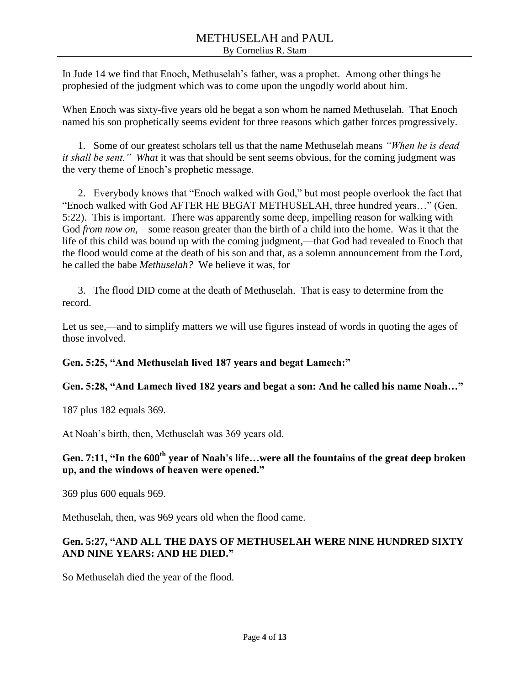In Jude 14 we find that Enoch, Methuselah's father, was a prophet. Among other things he prophesied of the judgment which was to come upon the ungodly world about him.

When Enoch was sixty-five years old he begat a son whom he named Methuselah. That Enoch named his son prophetically seems evident for three reasons which gather forces progressively.

1. Some of our greatest scholars tell us that the name Methuselah means *"When he is dead it shall be sent." What* it was that should be sent seems obvious, for the coming judgment was the very theme of Enoch's prophetic message.

2. Everybody knows that "Enoch walked with God," but most people overlook the fact that "Enoch walked with God AFTER HE BEGAT METHUSELAH, three hundred years…" (Gen. 5:22). This is important. There was apparently some deep, impelling reason for walking with God *from now on,*—some reason greater than the birth of a child into the home. Was it that the life of this child was bound up with the coming judgment,—that God had revealed to Enoch that the flood would come at the death of his son and that, as a solemn announcement from the Lord, he called the babe *Methuselah?* We believe it was, for

3. The flood DID come at the death of Methuselah. That is easy to determine from the record.

Let us see,—and to simplify matters we will use figures instead of words in quoting the ages of those involved.

## **Gen. 5:25, "And Methuselah lived 187 years and begat Lamech:"**

## **Gen. 5:28, "And Lamech lived 182 years and begat a son: And he called his name Noah…"**

187 plus 182 equals 369.

At Noah's birth, then, Methuselah was 369 years old.

# **Gen. 7:11, "In the 600th year of Noah's life…were all the fountains of the great deep broken up, and the windows of heaven were opened."**

369 plus 600 equals 969.

Methuselah, then, was 969 years old when the flood came.

## **Gen. 5:27, "AND ALL THE DAYS OF METHUSELAH WERE NINE HUNDRED SIXTY AND NINE YEARS: AND HE DIED."**

So Methuselah died the year of the flood.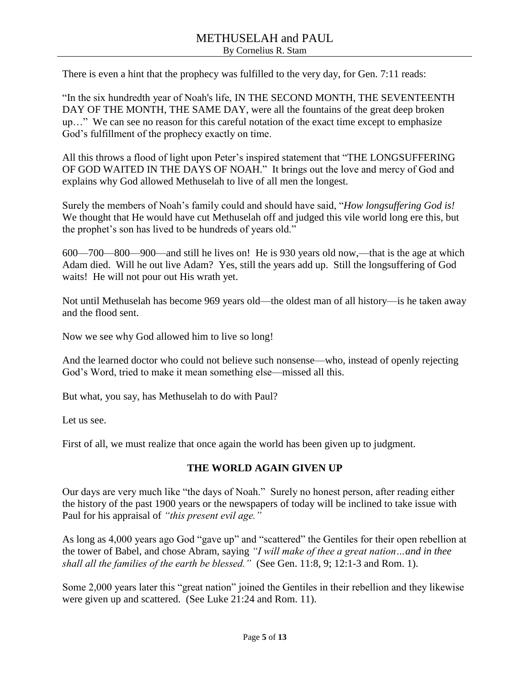There is even a hint that the prophecy was fulfilled to the very day, for Gen. 7:11 reads:

"In the six hundredth year of Noah's life, IN THE SECOND MONTH, THE SEVENTEENTH DAY OF THE MONTH, THE SAME DAY, were all the fountains of the great deep broken up…" We can see no reason for this careful notation of the exact time except to emphasize God's fulfillment of the prophecy exactly on time.

All this throws a flood of light upon Peter's inspired statement that "THE LONGSUFFERING OF GOD WAITED IN THE DAYS OF NOAH." It brings out the love and mercy of God and explains why God allowed Methuselah to live of all men the longest.

Surely the members of Noah's family could and should have said, "*How longsuffering God is!* We thought that He would have cut Methuselah off and judged this vile world long ere this, but the prophet's son has lived to be hundreds of years old."

600—700—800—900—and still he lives on! He is 930 years old now,—that is the age at which Adam died. Will he out live Adam? Yes, still the years add up. Still the longsuffering of God waits! He will not pour out His wrath yet.

Not until Methuselah has become 969 years old—the oldest man of all history—is he taken away and the flood sent.

Now we see why God allowed him to live so long!

And the learned doctor who could not believe such nonsense—who, instead of openly rejecting God's Word, tried to make it mean something else—missed all this.

But what, you say, has Methuselah to do with Paul?

Let us see.

First of all, we must realize that once again the world has been given up to judgment.

#### **THE WORLD AGAIN GIVEN UP**

Our days are very much like "the days of Noah." Surely no honest person, after reading either the history of the past 1900 years or the newspapers of today will be inclined to take issue with Paul for his appraisal of *"this present evil age."*

As long as 4,000 years ago God "gave up" and "scattered" the Gentiles for their open rebellion at the tower of Babel, and chose Abram, saying *"I will make of thee a great nation…and in thee shall all the families of the earth be blessed."* (See Gen. 11:8, 9; 12:1-3 and Rom. 1).

Some 2,000 years later this "great nation" joined the Gentiles in their rebellion and they likewise were given up and scattered. (See Luke 21:24 and Rom. 11).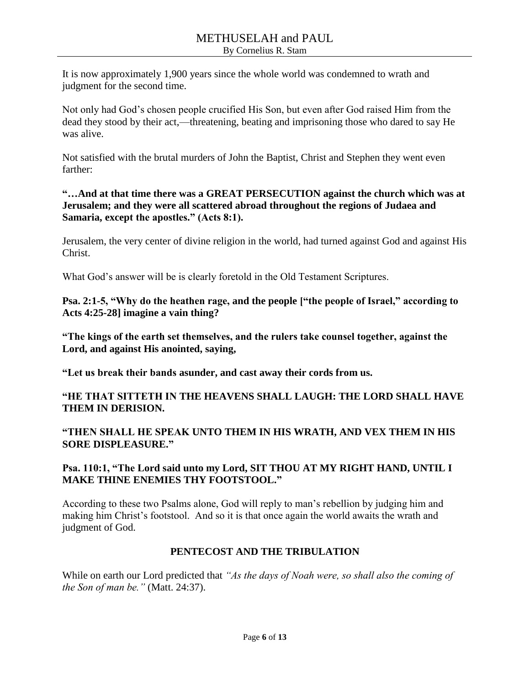It is now approximately 1,900 years since the whole world was condemned to wrath and judgment for the second time.

Not only had God's chosen people crucified His Son, but even after God raised Him from the dead they stood by their act,—threatening, beating and imprisoning those who dared to say He was alive.

Not satisfied with the brutal murders of John the Baptist, Christ and Stephen they went even farther:

**"…And at that time there was a GREAT PERSECUTION against the church which was at Jerusalem; and they were all scattered abroad throughout the regions of Judaea and Samaria, except the apostles." (Acts 8:1).**

Jerusalem, the very center of divine religion in the world, had turned against God and against His Christ.

What God's answer will be is clearly foretold in the Old Testament Scriptures.

**Psa. 2:1-5, "Why do the heathen rage, and the people ["the people of Israel," according to Acts 4:25-28] imagine a vain thing?** 

**"The kings of the earth set themselves, and the rulers take counsel together, against the Lord, and against His anointed, saying,** 

**"Let us break their bands asunder, and cast away their cords from us.**

**"HE THAT SITTETH IN THE HEAVENS SHALL LAUGH: THE LORD SHALL HAVE THEM IN DERISION.**

**"THEN SHALL HE SPEAK UNTO THEM IN HIS WRATH, AND VEX THEM IN HIS SORE DISPLEASURE."**

## **Psa. 110:1, "The Lord said unto my Lord, SIT THOU AT MY RIGHT HAND, UNTIL I MAKE THINE ENEMIES THY FOOTSTOOL."**

According to these two Psalms alone, God will reply to man's rebellion by judging him and making him Christ's footstool. And so it is that once again the world awaits the wrath and judgment of God.

# **PENTECOST AND THE TRIBULATION**

While on earth our Lord predicted that *"As the days of Noah were, so shall also the coming of the Son of man be."* (Matt. 24:37).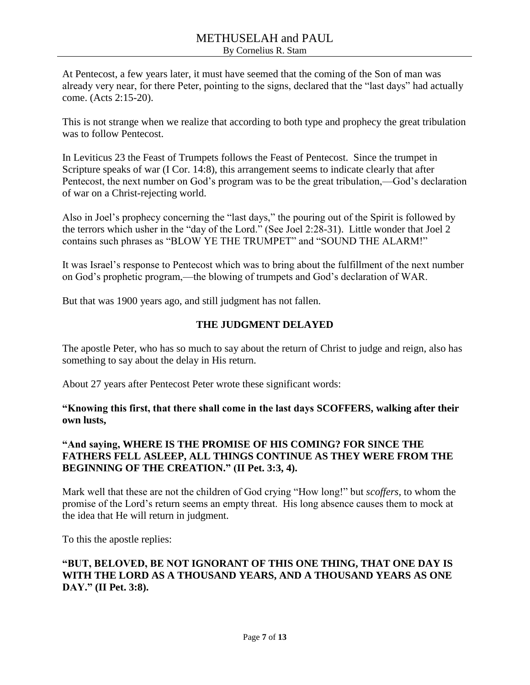At Pentecost, a few years later, it must have seemed that the coming of the Son of man was already very near, for there Peter, pointing to the signs, declared that the "last days" had actually come. (Acts 2:15-20).

This is not strange when we realize that according to both type and prophecy the great tribulation was to follow Pentecost.

In Leviticus 23 the Feast of Trumpets follows the Feast of Pentecost. Since the trumpet in Scripture speaks of war (I Cor. 14:8), this arrangement seems to indicate clearly that after Pentecost, the next number on God's program was to be the great tribulation,—God's declaration of war on a Christ-rejecting world.

Also in Joel's prophecy concerning the "last days," the pouring out of the Spirit is followed by the terrors which usher in the "day of the Lord." (See Joel 2:28-31). Little wonder that Joel 2 contains such phrases as "BLOW YE THE TRUMPET" and "SOUND THE ALARM!"

It was Israel's response to Pentecost which was to bring about the fulfillment of the next number on God's prophetic program,—the blowing of trumpets and God's declaration of WAR.

But that was 1900 years ago, and still judgment has not fallen.

#### **THE JUDGMENT DELAYED**

The apostle Peter, who has so much to say about the return of Christ to judge and reign, also has something to say about the delay in His return.

About 27 years after Pentecost Peter wrote these significant words:

**"Knowing this first, that there shall come in the last days SCOFFERS, walking after their own lusts,**

## **"And saying, WHERE IS THE PROMISE OF HIS COMING? FOR SINCE THE FATHERS FELL ASLEEP, ALL THINGS CONTINUE AS THEY WERE FROM THE BEGINNING OF THE CREATION." (II Pet. 3:3, 4).**

Mark well that these are not the children of God crying "How long!" but *scoffers*, to whom the promise of the Lord's return seems an empty threat. His long absence causes them to mock at the idea that He will return in judgment.

To this the apostle replies:

## **"BUT, BELOVED, BE NOT IGNORANT OF THIS ONE THING, THAT ONE DAY IS WITH THE LORD AS A THOUSAND YEARS, AND A THOUSAND YEARS AS ONE DAY." (II Pet. 3:8).**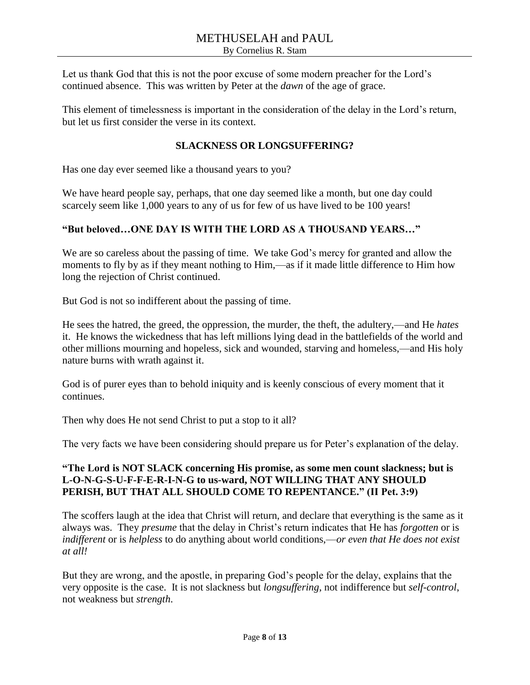Let us thank God that this is not the poor excuse of some modern preacher for the Lord's continued absence. This was written by Peter at the *dawn* of the age of grace.

This element of timelessness is important in the consideration of the delay in the Lord's return, but let us first consider the verse in its context.

#### **SLACKNESS OR LONGSUFFERING?**

Has one day ever seemed like a thousand years to you?

We have heard people say, perhaps, that one day seemed like a month, but one day could scarcely seem like 1,000 years to any of us for few of us have lived to be 100 years!

#### **"But beloved…ONE DAY IS WITH THE LORD AS A THOUSAND YEARS…"**

We are so careless about the passing of time. We take God's mercy for granted and allow the moments to fly by as if they meant nothing to Him,—as if it made little difference to Him how long the rejection of Christ continued.

But God is not so indifferent about the passing of time.

He sees the hatred, the greed, the oppression, the murder, the theft, the adultery,—and He *hates* it. He knows the wickedness that has left millions lying dead in the battlefields of the world and other millions mourning and hopeless, sick and wounded, starving and homeless,—and His holy nature burns with wrath against it.

God is of purer eyes than to behold iniquity and is keenly conscious of every moment that it continues.

Then why does He not send Christ to put a stop to it all?

The very facts we have been considering should prepare us for Peter's explanation of the delay.

#### **"The Lord is NOT SLACK concerning His promise, as some men count slackness; but is L-O-N-G-S-U-F-F-E-R-I-N-G to us-ward, NOT WILLING THAT ANY SHOULD PERISH, BUT THAT ALL SHOULD COME TO REPENTANCE." (II Pet. 3:9)**

The scoffers laugh at the idea that Christ will return, and declare that everything is the same as it always was. They *presume* that the delay in Christ's return indicates that He has *forgotten* or is *indifferent* or is *helpless* to do anything about world conditions,—*or even that He does not exist at all!*

But they are wrong, and the apostle, in preparing God's people for the delay, explains that the very opposite is the case. It is not slackness but *longsuffering*, not indifference but *self-control*, not weakness but *strength*.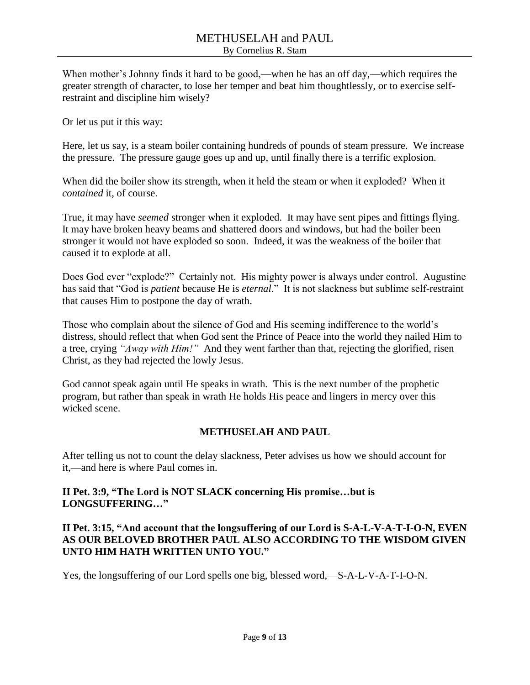When mother's Johnny finds it hard to be good,—when he has an off day,—which requires the greater strength of character, to lose her temper and beat him thoughtlessly, or to exercise selfrestraint and discipline him wisely?

Or let us put it this way:

Here, let us say, is a steam boiler containing hundreds of pounds of steam pressure. We increase the pressure. The pressure gauge goes up and up, until finally there is a terrific explosion.

When did the boiler show its strength, when it held the steam or when it exploded? When it *contained* it, of course.

True, it may have *seemed* stronger when it exploded. It may have sent pipes and fittings flying. It may have broken heavy beams and shattered doors and windows, but had the boiler been stronger it would not have exploded so soon. Indeed, it was the weakness of the boiler that caused it to explode at all.

Does God ever "explode?" Certainly not. His mighty power is always under control. Augustine has said that "God is *patient* because He is *eternal*." It is not slackness but sublime self-restraint that causes Him to postpone the day of wrath.

Those who complain about the silence of God and His seeming indifference to the world's distress, should reflect that when God sent the Prince of Peace into the world they nailed Him to a tree, crying *"Away with Him!"* And they went farther than that, rejecting the glorified, risen Christ, as they had rejected the lowly Jesus.

God cannot speak again until He speaks in wrath. This is the next number of the prophetic program, but rather than speak in wrath He holds His peace and lingers in mercy over this wicked scene.

## **METHUSELAH AND PAUL**

After telling us not to count the delay slackness, Peter advises us how we should account for it,—and here is where Paul comes in.

## **II Pet. 3:9, "The Lord is NOT SLACK concerning His promise…but is LONGSUFFERING…"**

## **II Pet. 3:15, "And account that the longsuffering of our Lord is S-A-L-V-A-T-I-O-N, EVEN AS OUR BELOVED BROTHER PAUL ALSO ACCORDING TO THE WISDOM GIVEN UNTO HIM HATH WRITTEN UNTO YOU."**

Yes, the longsuffering of our Lord spells one big, blessed word,—S-A-L-V-A-T-I-O-N.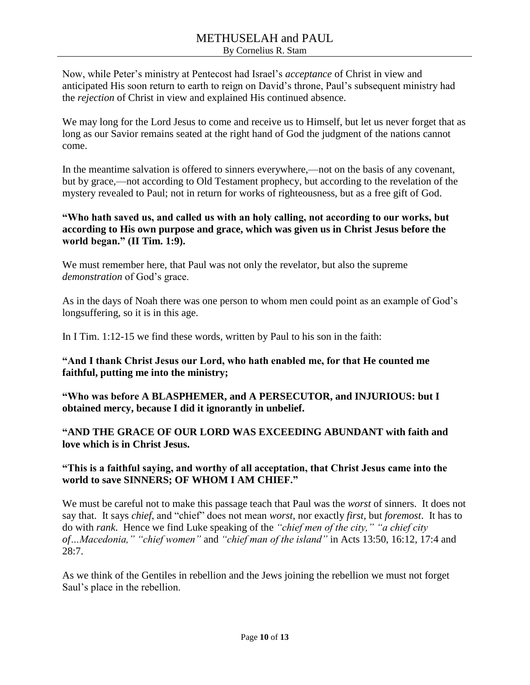Now, while Peter's ministry at Pentecost had Israel's *acceptance* of Christ in view and anticipated His soon return to earth to reign on David's throne, Paul's subsequent ministry had the *rejection* of Christ in view and explained His continued absence.

We may long for the Lord Jesus to come and receive us to Himself, but let us never forget that as long as our Savior remains seated at the right hand of God the judgment of the nations cannot come.

In the meantime salvation is offered to sinners everywhere,—not on the basis of any covenant, but by grace,—not according to Old Testament prophecy, but according to the revelation of the mystery revealed to Paul; not in return for works of righteousness, but as a free gift of God.

#### **"Who hath saved us, and called us with an holy calling, not according to our works, but according to His own purpose and grace, which was given us in Christ Jesus before the world began." (II Tim. 1:9).**

We must remember here, that Paul was not only the revelator, but also the supreme *demonstration* of God's grace.

As in the days of Noah there was one person to whom men could point as an example of God's longsuffering, so it is in this age.

In I Tim. 1:12-15 we find these words, written by Paul to his son in the faith:

## **"And I thank Christ Jesus our Lord, who hath enabled me, for that He counted me faithful, putting me into the ministry;**

**"Who was before A BLASPHEMER, and A PERSECUTOR, and INJURIOUS: but I obtained mercy, because I did it ignorantly in unbelief.**

## **"AND THE GRACE OF OUR LORD WAS EXCEEDING ABUNDANT with faith and love which is in Christ Jesus.**

## **"This is a faithful saying, and worthy of all acceptation, that Christ Jesus came into the world to save SINNERS; OF WHOM I AM CHIEF."**

We must be careful not to make this passage teach that Paul was the *worst* of sinners. It does not say that. It says *chief*, and "chief" does not mean *worst*, nor exactly *first*, but *foremost*. It has to do with *rank*. Hence we find Luke speaking of the *"chief men of the city," "a chief city of…Macedonia," "chief women"* and *"chief man of the island"* in Acts 13:50, 16:12, 17:4 and 28:7.

As we think of the Gentiles in rebellion and the Jews joining the rebellion we must not forget Saul's place in the rebellion.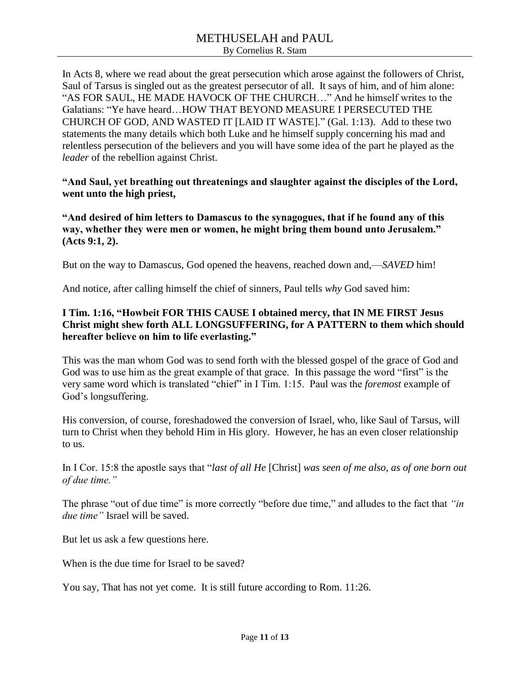In Acts 8, where we read about the great persecution which arose against the followers of Christ, Saul of Tarsus is singled out as the greatest persecutor of all. It says of him, and of him alone: "AS FOR SAUL, HE MADE HAVOCK OF THE CHURCH…" And he himself writes to the Galatians: "Ye have heard…HOW THAT BEYOND MEASURE I PERSECUTED THE CHURCH OF GOD, AND WASTED IT [LAID IT WASTE]." (Gal. 1:13). Add to these two statements the many details which both Luke and he himself supply concerning his mad and relentless persecution of the believers and you will have some idea of the part he played as the *leader* of the rebellion against Christ.

**"And Saul, yet breathing out threatenings and slaughter against the disciples of the Lord, went unto the high priest,**

**"And desired of him letters to Damascus to the synagogues, that if he found any of this way, whether they were men or women, he might bring them bound unto Jerusalem." (Acts 9:1, 2).**

But on the way to Damascus, God opened the heavens, reached down and,—*SAVED* him!

And notice, after calling himself the chief of sinners, Paul tells *why* God saved him:

#### **I Tim. 1:16, "Howbeit FOR THIS CAUSE I obtained mercy, that IN ME FIRST Jesus Christ might shew forth ALL LONGSUFFERING, for A PATTERN to them which should hereafter believe on him to life everlasting."**

This was the man whom God was to send forth with the blessed gospel of the grace of God and God was to use him as the great example of that grace. In this passage the word "first" is the very same word which is translated "chief" in I Tim. 1:15. Paul was the *foremost* example of God's longsuffering.

His conversion, of course, foreshadowed the conversion of Israel, who, like Saul of Tarsus, will turn to Christ when they behold Him in His glory. However, he has an even closer relationship to us.

In I Cor. 15:8 the apostle says that "*last of all He* [Christ] *was seen of me also, as of one born out of due time."*

The phrase "out of due time" is more correctly "before due time," and alludes to the fact that *"in due time"* Israel will be saved.

But let us ask a few questions here.

When is the due time for Israel to be saved?

You say, That has not yet come. It is still future according to Rom. 11:26.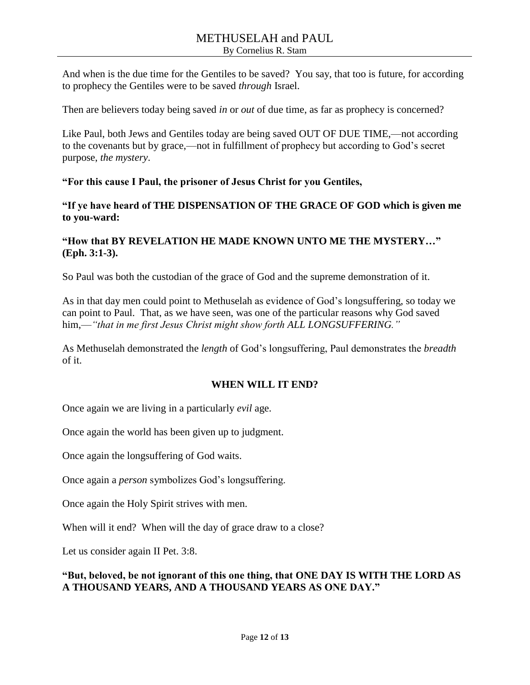And when is the due time for the Gentiles to be saved? You say, that too is future, for according to prophecy the Gentiles were to be saved *through* Israel.

Then are believers today being saved *in* or *out* of due time, as far as prophecy is concerned?

Like Paul, both Jews and Gentiles today are being saved OUT OF DUE TIME,—not according to the covenants but by grace,—not in fulfillment of prophecy but according to God's secret purpose, *the mystery*.

**"For this cause I Paul, the prisoner of Jesus Christ for you Gentiles,**

**"If ye have heard of THE DISPENSATION OF THE GRACE OF GOD which is given me to you-ward:**

## **"How that BY REVELATION HE MADE KNOWN UNTO ME THE MYSTERY…" (Eph. 3:1-3).**

So Paul was both the custodian of the grace of God and the supreme demonstration of it.

As in that day men could point to Methuselah as evidence of God's longsuffering, so today we can point to Paul. That, as we have seen, was one of the particular reasons why God saved him,—"that in me first Jesus Christ might show forth ALL LONGSUFFERING."

As Methuselah demonstrated the *length* of God's longsuffering, Paul demonstrates the *breadth* of it.

## **WHEN WILL IT END?**

Once again we are living in a particularly *evil* age.

Once again the world has been given up to judgment.

Once again the longsuffering of God waits.

Once again a *person* symbolizes God's longsuffering.

Once again the Holy Spirit strives with men.

When will it end? When will the day of grace draw to a close?

Let us consider again II Pet. 3:8.

## **"But, beloved, be not ignorant of this one thing, that ONE DAY IS WITH THE LORD AS A THOUSAND YEARS, AND A THOUSAND YEARS AS ONE DAY."**